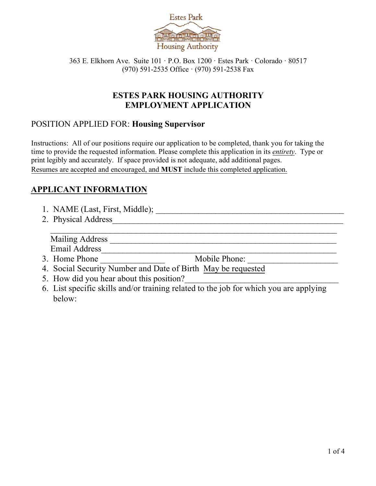

363 E. Elkhorn Ave. Suite 101 · P.O. Box 1200 · Estes Park · Colorado · 80517 (970) 591-2535 Office · (970) 591-2538 Fax

## **ESTES PARK HOUSING AUTHORITY EMPLOYMENT APPLICATION**

### POSITION APPLIED FOR: **Housing Supervisor**

Instructions: All of our positions require our application to be completed, thank you for taking the time to provide the requested information. Please complete this application in its *entirety*. Type or print legibly and accurately. If space provided is not adequate, add additional pages. Resumes are accepted and encouraged, and **MUST** include this completed application.

## **APPLICANT INFORMATION**

- 1. NAME (Last, First, Middle); \_\_\_\_\_\_\_\_\_\_\_\_\_\_\_\_\_\_\_\_\_\_\_\_\_\_\_\_\_\_\_\_\_\_\_\_\_\_\_\_\_\_\_\_
- 2. Physical Address\_\_\_\_\_\_\_\_\_\_\_\_\_\_\_\_\_\_\_\_\_\_\_\_\_\_\_\_\_\_\_\_\_\_\_\_\_\_\_\_\_\_\_\_\_\_\_\_\_\_\_\_\_\_

Mailing Address **Mailing** Address **and Address** *n* Email Address

- 3. Home Phone \_\_\_\_\_\_\_\_\_\_\_\_\_\_\_ Mobile Phone: \_\_\_\_\_\_\_\_\_\_\_\_\_\_\_\_\_\_\_\_\_
- 4. Social Security Number and Date of Birth May be requested
- 5. How did you hear about this position?
- 6. List specific skills and/or training related to the job for which you are applying below:

 $\mathcal{L}_\text{G}$  , and the set of the set of the set of the set of the set of the set of the set of the set of the set of the set of the set of the set of the set of the set of the set of the set of the set of the set of the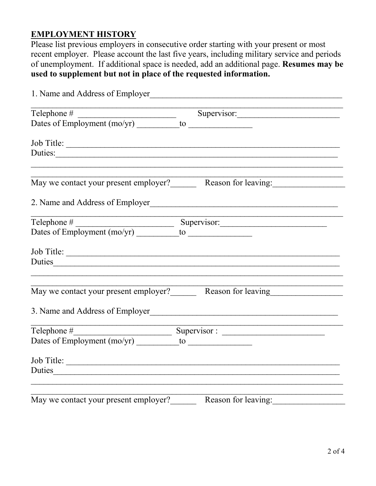## **EMPLOYMENT HISTORY**

Please list previous employers in consecutive order starting with your present or most recent employer. Please account the last five years, including military service and periods of unemployment. If additional space is needed, add an additional page. **Resumes may be used to supplement but not in place of the requested information.** 

| 1. Name and Address of Employer       |                                                           |  |  |  |
|---------------------------------------|-----------------------------------------------------------|--|--|--|
| $\text{Telephone} \#$                 | Supervisor:                                               |  |  |  |
|                                       |                                                           |  |  |  |
| Job Title:                            |                                                           |  |  |  |
|                                       | Duties:                                                   |  |  |  |
|                                       | May we contact your present employer? Reason for leaving: |  |  |  |
|                                       |                                                           |  |  |  |
|                                       |                                                           |  |  |  |
|                                       |                                                           |  |  |  |
|                                       | Job Title:                                                |  |  |  |
|                                       |                                                           |  |  |  |
|                                       |                                                           |  |  |  |
|                                       | 3. Name and Address of Employer                           |  |  |  |
|                                       |                                                           |  |  |  |
|                                       |                                                           |  |  |  |
| Job Title:                            |                                                           |  |  |  |
|                                       | Duties                                                    |  |  |  |
| May we contact your present employer? | Reason for leaving:                                       |  |  |  |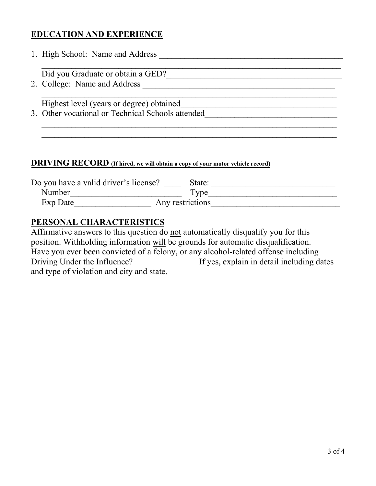# **EDUCATION AND EXPERIENCE**

| 1. High School: Name and Address                  |
|---------------------------------------------------|
|                                                   |
| Did you Graduate or obtain a GED?                 |
| 2. College: Name and Address                      |
|                                                   |
| Highest level (years or degree) obtained          |
| 3. Other vocational or Technical Schools attended |
|                                                   |
|                                                   |

#### **DRIVING RECORD (If hired, we will obtain a copy of your motor vehicle record)**

| Do you have a valid driver's license? |  | State:      |  |
|---------------------------------------|--|-------------|--|
| Number                                |  | <b>Type</b> |  |
| Exp Date<br>Any restrictions          |  |             |  |

## **PERSONAL CHARACTERISTICS**

Affirmative answers to this question do not automatically disqualify you for this position. Withholding information will be grounds for automatic disqualification. Have you ever been convicted of a felony, or any alcohol-related offense including Driving Under the Influence? \_\_\_\_\_\_\_\_\_\_\_\_\_\_\_\_\_ If yes, explain in detail including dates and type of violation and city and state.